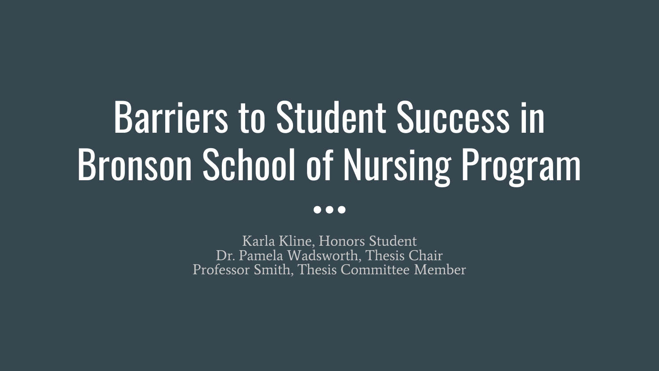# Barriers to Student Success in Bronson School of Nursing Program  $\bullet \bullet \bullet$

Karla Kline, Honors Student Dr. Pamela Wadsworth, Thesis Chair Professor Smith, Thesis Committee Member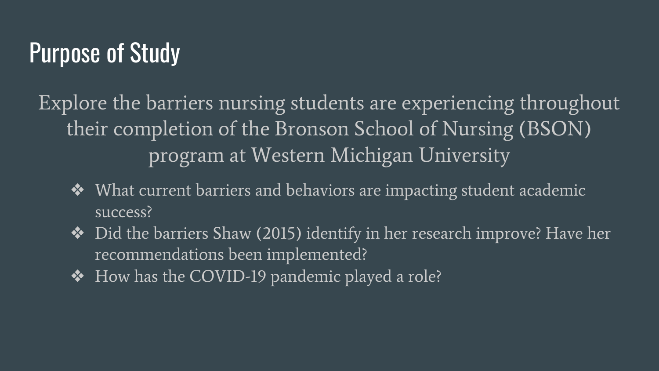### Purpose of Study

Explore the barriers nursing students are experiencing throughout their completion of the Bronson School of Nursing (BSON) program at Western Michigan University

- ❖ What current barriers and behaviors are impacting student academic success?
- ❖ Did the barriers Shaw (2015) identify in her research improve? Have her recommendations been implemented?
- ❖ How has the COVID-19 pandemic played a role?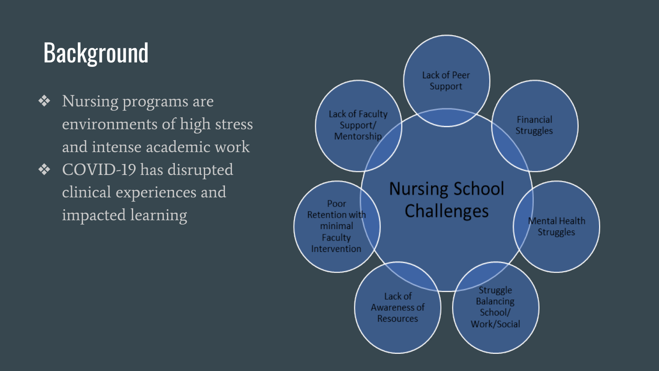### **Background**

- ❖ Nursing programs are environments of high stress and intense academic work
- ❖ COVID-19 has disrupted clinical experiences and impacted learning

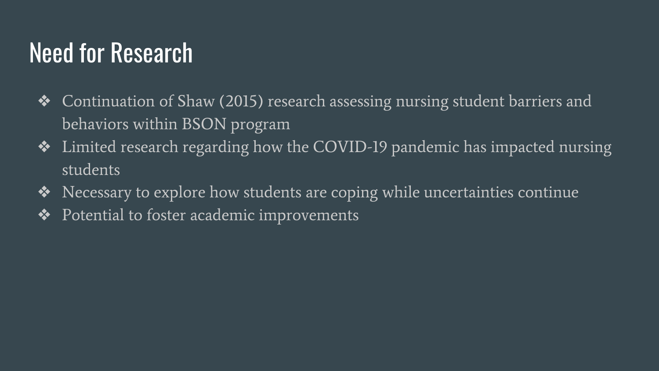### Need for Research

- ❖ Continuation of Shaw (2015) research assessing nursing student barriers and behaviors within BSON program
- ❖ Limited research regarding how the COVID-19 pandemic has impacted nursing students
- ❖ Necessary to explore how students are coping while uncertainties continue
- ❖ Potential to foster academic improvements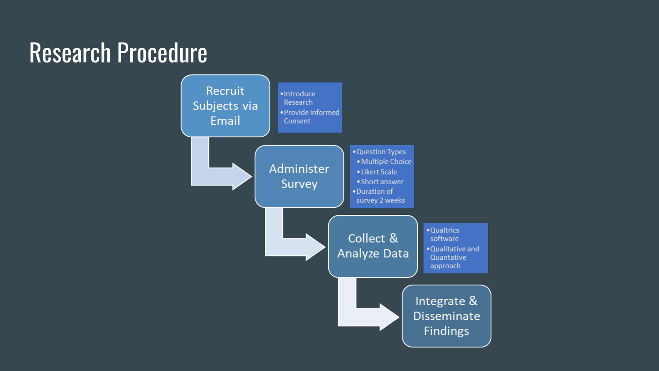### Research Procedure

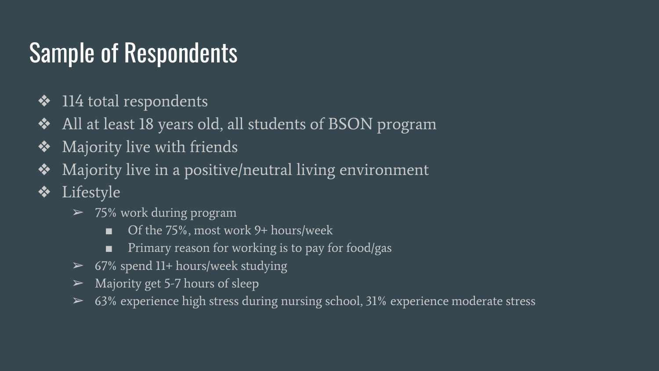## Sample of Respondents

- $\div$  114 total respondents
- ❖ All at least 18 years old, all students of BSON program
- ❖ Majority live with friends
- ❖ Majority live in a positive/neutral living environment
- ❖ Lifestyle
	- $\geq$  75% work during program
		- Of the 75%, most work 9+ hours/week
		- Primary reason for working is to pay for food/gas
	- $\geq$  67% spend 11+ hours/week studying
	- $\triangleright$  Majority get 5-7 hours of sleep
	- $\geq 63\%$  experience high stress during nursing school, 31% experience moderate stress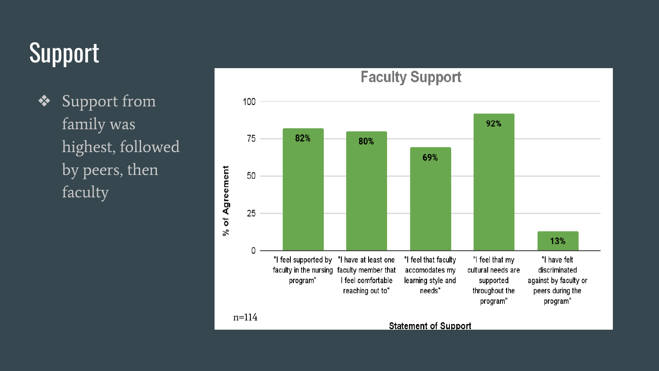## Support

❖ Support from family was highest, followed by peers, then faculty

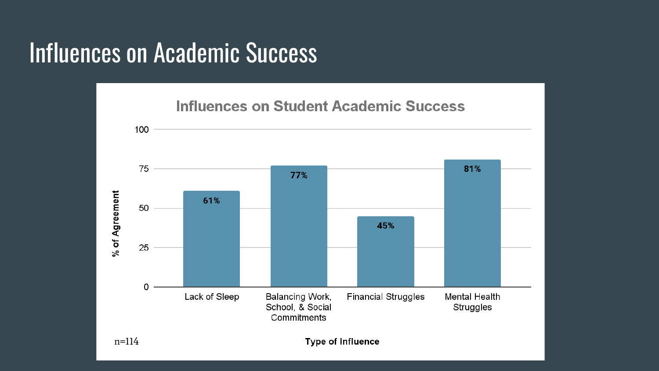### Influences on Academic Success

**Influences on Student Academic Success** 

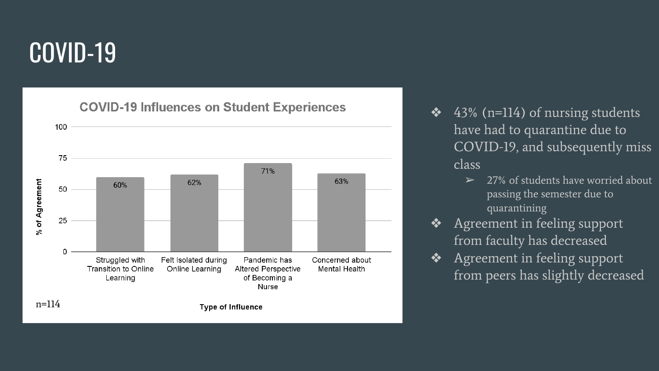### COVID -19

**COVID-19 Influences on Student Experiences** 



- $\triangleleft$  43% (n=114) of nursing students have had to quarantine due to COVID -19, and subsequently miss class
	- $\geq$  27% of students have worried about passing the semester due to quarantining
- ❖ Agreement in feeling support from faculty has decreased
- ❖ Agreement in feeling support from peers has slightly decreased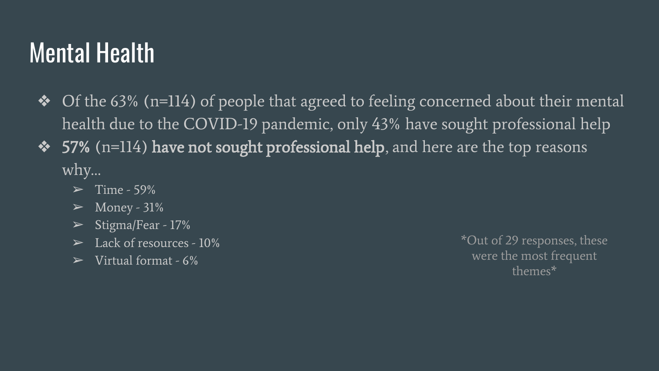### Mental Health

- ❖ Of the 63% (n=114) of people that agreed to feeling concerned about their mental health due to the COVID-19 pandemic, only 43% have sought professional help
- ◆ 57% (n=114) have not sought professional help, and here are the top reasons why…
	- ➢ Time 59%
	- $\blacktriangleright$  Money 31%
	- $\triangleright$  Stigma/Fear 17%
	- $\blacktriangleright$  Lack of resources 10%
	- $\triangleright$  Virtual format 6%

\*Out of 29 responses, these were the most frequent themes\*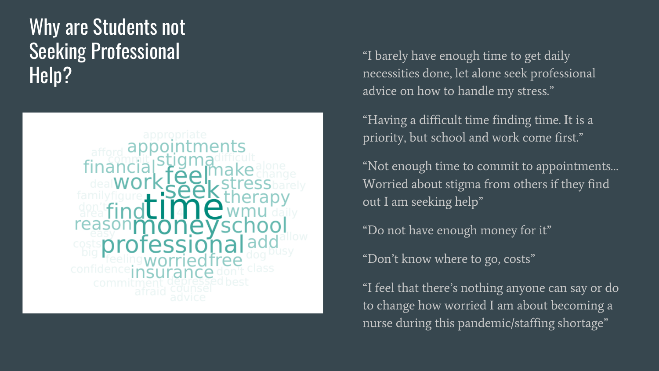### Why are Students not Seeking Professional Help?



"I barely have enough time to get daily necessities done, let alone seek professional advice on how to handle my stress."

"Having a difficult time finding time. It is a priority, but school and work come first."

"Not enough time to commit to appointments… Worried about stigma from others if they find out I am seeking help"

"Do not have enough money for it"

"Don't know where to go, costs"

"I feel that there's nothing anyone can say or do to change how worried I am about becoming a nurse during this pandemic/staffing shortage"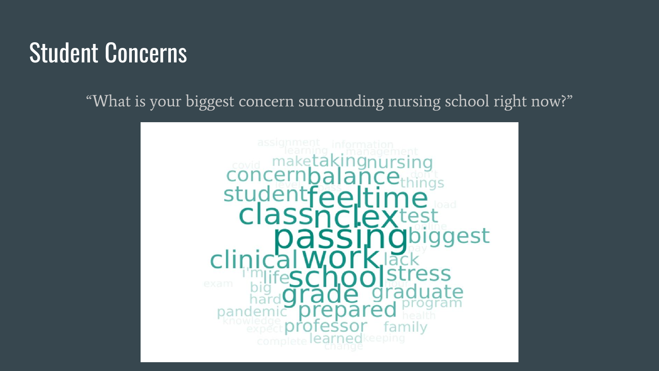### Student Concerns

"What is your biggest concern surrounding nursing school right now?"

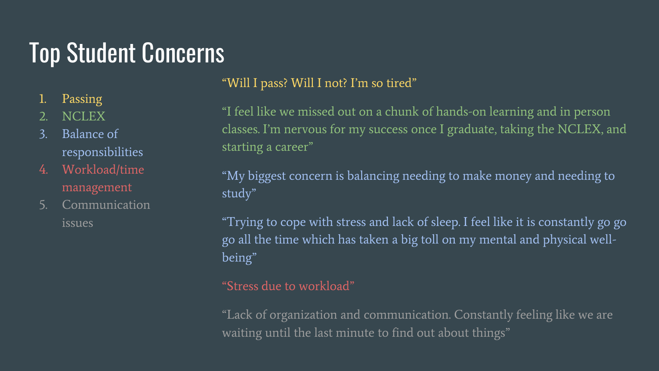### Top Student Concerns

- 1. Passing
- 2. NCLEX
- 3. Balance of responsibilities
- 4. Workload/time management
- 5. Communication issues

#### "Will I pass? Will I not? I'm so tired"

"I feel like we missed out on a chunk of hands-on learning and in person classes. I'm nervous for my success once I graduate, taking the NCLEX, and starting a career"

"My biggest concern is balancing needing to make money and needing to study"

"Trying to cope with stress and lack of sleep. I feel like it is constantly go go go all the time which has taken a big toll on my mental and physical wellbeing"

#### "Stress due to workload"

"Lack of organization and communication. Constantly feeling like we are waiting until the last minute to find out about things"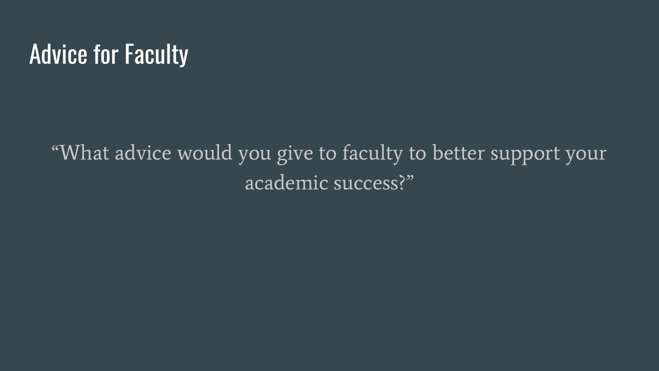### Advice for Faculty

"What advice would you give to faculty to better support your academic success?"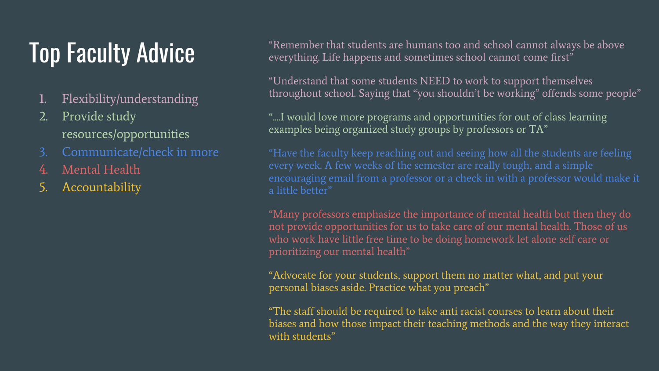### Top Faculty Advice

- 1. Flexibility/understanding
- Provide study resources/opportunities
- 3. Communicate/check in more
- Mental Health
- **Accountability**

"Remember that students are humans too and school cannot always be above everything. Life happens and sometimes school cannot come first"

"Understand that some students NEED to work to support themselves throughout school. Saying that "you shouldn't be working" offends some people"

"....I would love more programs and opportunities for out of class learning examples being organized study groups by professors or TA"

a little better"

"Many professors emphasize the importance of mental health but then they do not provide opportunities for us to take care of our mental health. Those of us who work have little free time to be doing homework let alone self care or prioritizing our mental health"

"Advocate for your students, support them no matter what, and put your personal biases aside. Practice what you preach"

"The staff should be required to take anti racist courses to learn about their biases and how those impact their teaching methods and the way they interact with students"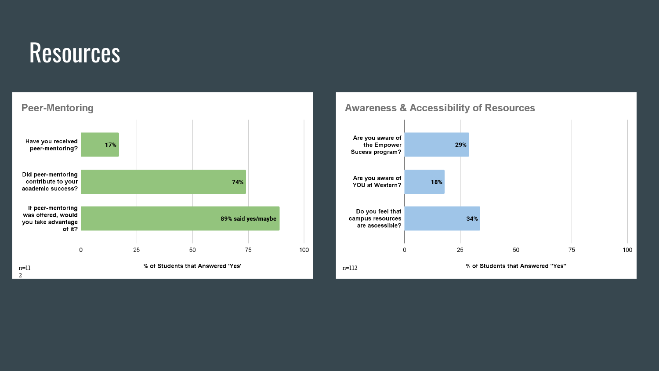### **Resources**



#### **Awareness & Accessibility of Resources**

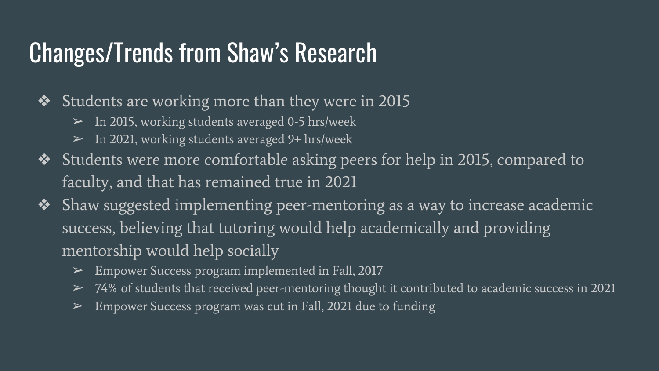### Changes/Trends from Shaw's Research

- ❖ Students are working more than they were in 2015
	- In 2015, working students averaged 0-5 hrs/week
	- In 2021, working students averaged 9+ hrs/week
- ❖ Students were more comfortable asking peers for help in 2015, compared to faculty, and that has remained true in 2021
- ❖ Shaw suggested implementing peer-mentoring as a way to increase academic success, believing that tutoring would help academically and providing mentorship would help socially
	- ➢ Empower Success program implemented in Fall, 2017
	- $\geq$  74% of students that received peer-mentoring thought it contributed to academic success in 2021
	- $\triangleright$  Empower Success program was cut in Fall, 2021 due to funding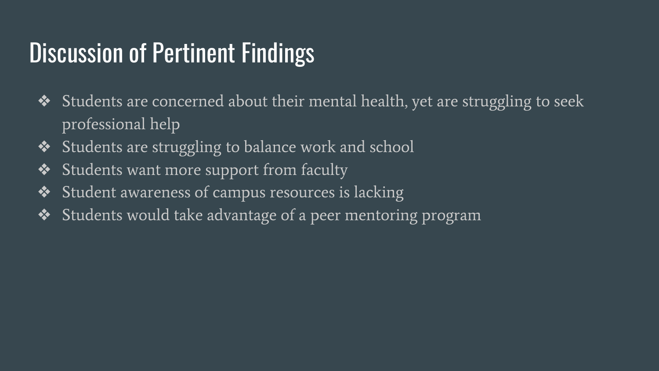### Discussion of Pertinent Findings

- ❖ Students are concerned about their mental health, yet are struggling to seek professional help
- ❖ Students are struggling to balance work and school
- ❖ Students want more support from faculty
- ❖ Student awareness of campus resources is lacking
- ❖ Students would take advantage of a peer mentoring program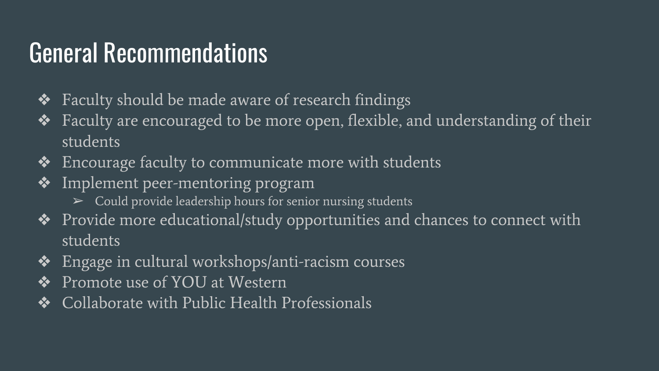### General Recommendations

- ❖ Faculty should be made aware of research findings
- ❖ Faculty are encouraged to be more open, flexible, and understanding of their students
- ❖ Encourage faculty to communicate more with students
- ❖ Implement peer-mentoring program
	- $\triangleright$  Could provide leadership hours for senior nursing students
- ❖ Provide more educational/study opportunities and chances to connect with students
- ❖ Engage in cultural workshops/anti-racism courses
- ❖ Promote use of YOU at Western
- ❖ Collaborate with Public Health Professionals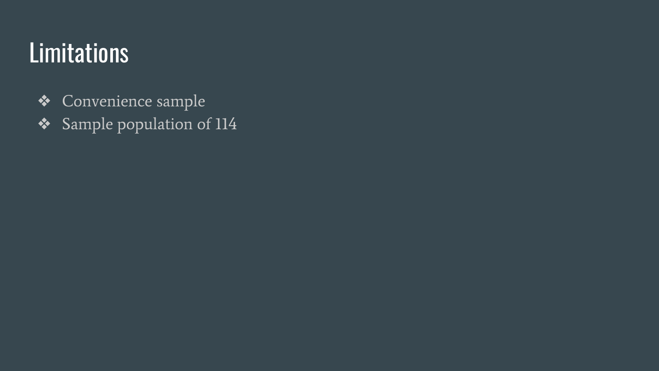### Limitations

- ❖ Convenience sample
- ❖ Sample population of 114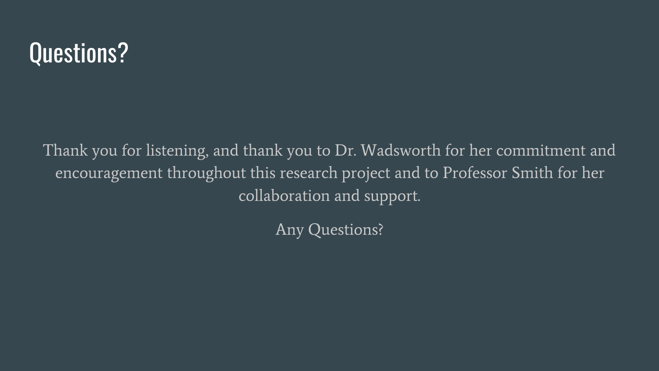### Questions?

Thank you for listening, and thank you to Dr. Wadsworth for her commitment and encouragement throughout this research project and to Professor Smith for her collaboration and support.

Any Questions?